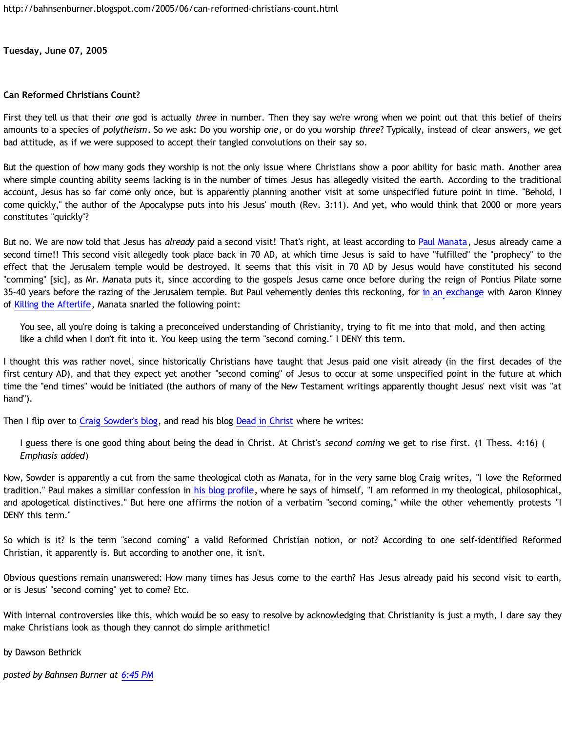**Tuesday, June 07, 2005**

## **Can Reformed Christians Count?**

First they tell us that their *one* god is actually *three* in number. Then they say we're wrong when we point out that this belief of theirs amounts to a species of *polytheism*. So we ask: Do you worship *one*, or do you worship *three*? Typically, instead of clear answers, we get bad attitude, as if we were supposed to accept their tangled convolutions on their say so.

But the question of how many gods they worship is not the only issue where Christians show a poor ability for basic math. Another area where simple counting ability seems lacking is in the number of times Jesus has allegedly visited the earth. According to the traditional account, Jesus has so far come only once, but is apparently planning another visit at some unspecified future point in time. "Behold, I come quickly," the author of the Apocalypse puts into his Jesus' mouth (Rev. 3:11). And yet, who would think that 2000 or more years constitutes "quickly"?

But no. We are now told that Jesus has *already* paid a second visit! That's right, at least according to [Paul Manata](http://presstheantithesis.blogspot.com/), Jesus already came a second time!! This second visit allegedly took place back in 70 AD, at which time Jesus is said to have "fulfilled" the "prophecy" to the effect that the Jerusalem temple would be destroyed. It seems that this visit in 70 AD by Jesus would have constituted his second "comming" [sic], as Mr. Manata puts it, since according to the gospels Jesus came once before during the reign of Pontius Pilate some 35-40 years before the razing of the Jerusalem temple. But Paul vehemently denies this reckoning, for [in an exchange](http://www.blogger.com/comment.g?blogID=11397797&postID=111774024129508958) with Aaron Kinney of [Killing the Afterlife](http://killtheafterlife.blogspot.com/), Manata snarled the following point:

You see, all you're doing is taking a preconceived understanding of Christianity, trying to fit me into that mold, and then acting like a child when I don't fit into it. You keep using the term "second coming." I DENY this term.

I thought this was rather novel, since historically Christians have taught that Jesus paid one visit already (in the first decades of the first century AD), and that they expect yet another "second coming" of Jesus to occur at some unspecified point in the future at which time the "end times" would be initiated (the authors of many of the New Testament writings apparently thought Jesus' next visit was "at hand").

Then I flip over to [Craig Sowder's blog](http://ecsowder.blogplot.com/), and read his blog [Dead in Christ](http://ecsowder.blogplot.com/73) where he writes:

I guess there is one good thing about being the dead in Christ. At Christ's *second coming* we get to rise first. (1 Thess. 4:16) ( *Emphasis added*)

Now, Sowder is apparently a cut from the same theological cloth as Manata, for in the very same blog Craig writes, "I love the Reformed tradition." Paul makes a similiar confession in [his blog profile](http://www.blogger.com/profile/7464842), where he says of himself, "I am reformed in my theological, philosophical, and apologetical distinctives." But here one affirms the notion of a verbatim "second coming," while the other vehemently protests "I DENY this term."

So which is it? Is the term "second coming" a valid Reformed Christian notion, or not? According to one self-identified Reformed Christian, it apparently is. But according to another one, it isn't.

Obvious questions remain unanswered: How many times has Jesus come to the earth? Has Jesus already paid his second visit to earth, or is Jesus' "second coming" yet to come? Etc.

With internal controversies like this, which would be so easy to resolve by acknowledging that Christianity is just a myth, I dare say they make Christians look as though they cannot do simple arithmetic!

by Dawson Bethrick

*posted by Bahnsen Burner at [6:45 PM](http://bahnsenburner.blogspot.com/2005/06/can-reformed-christians-count.html)*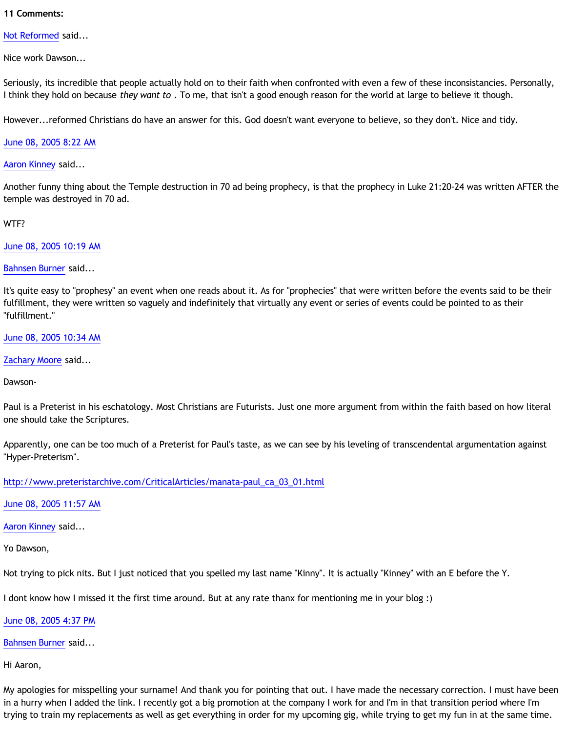## **11 Comments:**

[Not Reformed](http://www.blogger.com/profile/8159639) said...

Nice work Dawson...

Seriously, its incredible that people actually hold on to their faith when confronted with even a few of these inconsistancies. Personally, I think they hold on because *they want to* . To me, that isn't a good enough reason for the world at large to believe it though.

However...reformed Christians do have an answer for this. God doesn't want everyone to believe, so they don't. Nice and tidy.

[June 08, 2005 8:22 AM](http://bahnsenburner.blogspot.com/2005/06/111824417749663855)

[Aaron Kinney](http://www.blogger.com/profile/8138664) said...

Another funny thing about the Temple destruction in 70 ad being prophecy, is that the prophecy in Luke 21:20-24 was written AFTER the temple was destroyed in 70 ad.

WTF?

[June 08, 2005 10:19 AM](http://bahnsenburner.blogspot.com/2005/06/111825117582868936)

[Bahnsen Burner](http://www.blogger.com/profile/7766918) said...

It's quite easy to "prophesy" an event when one reads about it. As for "prophecies" that were written before the events said to be their fulfillment, they were written so vaguely and indefinitely that virtually any event or series of events could be pointed to as their "fulfillment."

[June 08, 2005 10:34 AM](http://bahnsenburner.blogspot.com/2005/06/111825207991740968)

[Zachary Moore](http://www.blogger.com/profile/7564330) said...

Dawson-

Paul is a Preterist in his eschatology. Most Christians are Futurists. Just one more argument from within the faith based on how literal one should take the Scriptures.

Apparently, one can be too much of a Preterist for Paul's taste, as we can see by his leveling of transcendental argumentation against "Hyper-Preterism".

[http://www.preteristarchive.com/CriticalArticles/manata-paul\\_ca\\_03\\_01.html](http://bahnsenburner.blogspot.com/2005/06/TAAHP)

[June 08, 2005 11:57 AM](http://bahnsenburner.blogspot.com/2005/06/111825706823033837)

[Aaron Kinney](http://www.blogger.com/profile/8138664) said...

Yo Dawson,

Not trying to pick nits. But I just noticed that you spelled my last name "Kinny". It is actually "Kinney" with an E before the Y.

I dont know how I missed it the first time around. But at any rate thanx for mentioning me in your blog :)

[June 08, 2005 4:37 PM](http://bahnsenburner.blogspot.com/2005/06/111827387186756829)

[Bahnsen Burner](http://www.blogger.com/profile/7766918) said...

Hi Aaron,

My apologies for misspelling your surname! And thank you for pointing that out. I have made the necessary correction. I must have been in a hurry when I added the link. I recently got a big promotion at the company I work for and I'm in that transition period where I'm trying to train my replacements as well as get everything in order for my upcoming gig, while trying to get my fun in at the same time.